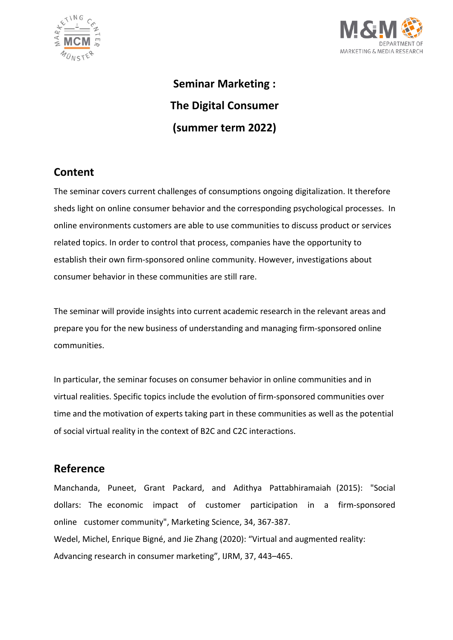



**Seminar Marketing : The Digital Consumer (summer term 2022)** 

# **Content**

The seminar covers current challenges of consumptions ongoing digitalization. It therefore sheds light on online consumer behavior and the corresponding psychological processes. In online environments customers are able to use communities to discuss product or services related topics. In order to control that process, companies have the opportunity to establish their own firm-sponsored online community. However, investigations about consumer behavior in these communities are still rare.

The seminar will provide insights into current academic research in the relevant areas and prepare you for the new business of understanding and managing firm-sponsored online communities.

In particular, the seminar focuses on consumer behavior in online communities and in virtual realities. Specific topics include the evolution of firm-sponsored communities over time and the motivation of experts taking part in these communities as well as the potential of social virtual reality in the context of B2C and C2C interactions.

#### **Reference**

Manchanda, Puneet, Grant Packard, and Adithya Pattabhiramaiah (2015): "Social dollars: The economic impact of customer participation in a firm-sponsored online customer community", Marketing Science, 34, 367-387. Wedel, Michel, Enrique Bigné, and Jie Zhang (2020): "Virtual and augmented reality: Advancing research in consumer marketing", IJRM, 37, 443–465.